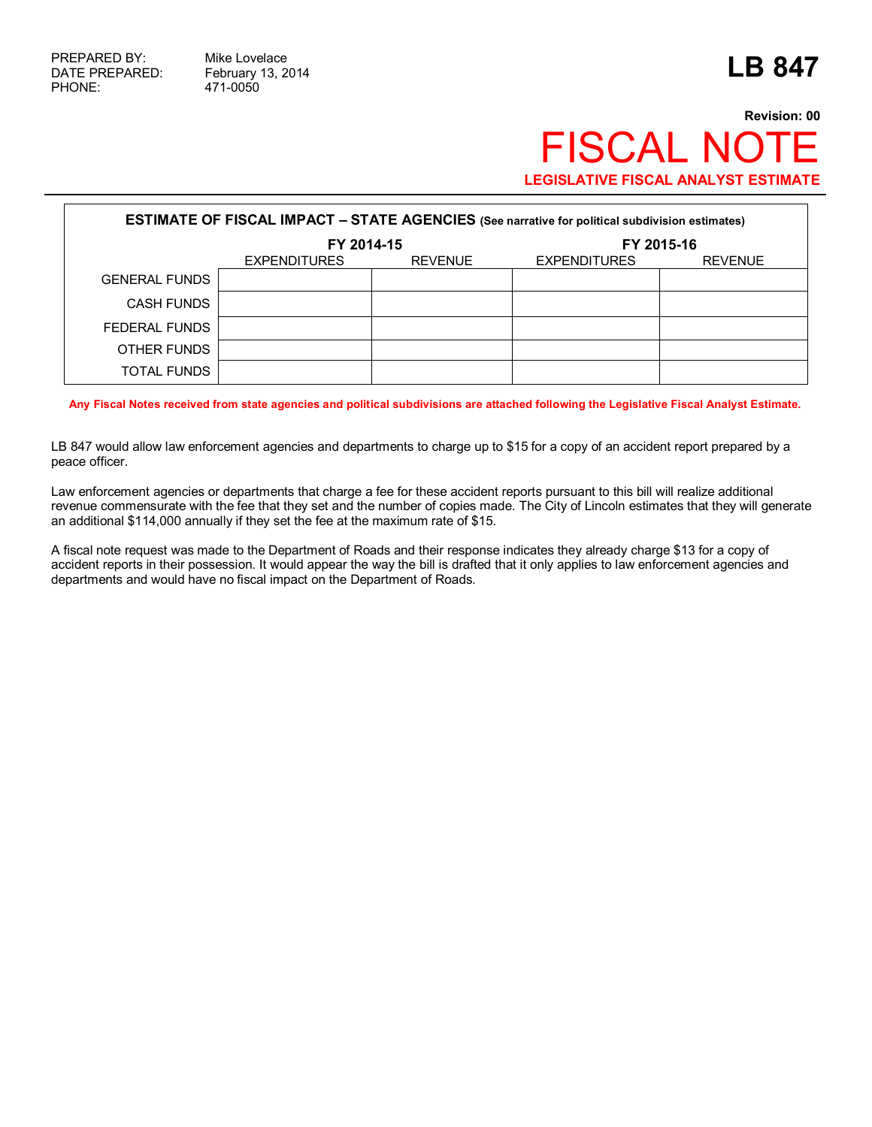## **Revision: 00 FISCAL NOT LEGISLATIVE FISCAL ANALYST ESTIMATE**

| <b>ESTIMATE OF FISCAL IMPACT - STATE AGENCIES</b> (See narrative for political subdivision estimates) |                     |                |                     |                |
|-------------------------------------------------------------------------------------------------------|---------------------|----------------|---------------------|----------------|
|                                                                                                       | FY 2014-15          |                | FY 2015-16          |                |
|                                                                                                       | <b>EXPENDITURES</b> | <b>REVENUE</b> | <b>EXPENDITURES</b> | <b>REVENUE</b> |
| <b>GENERAL FUNDS</b>                                                                                  |                     |                |                     |                |
| <b>CASH FUNDS</b>                                                                                     |                     |                |                     |                |
| FEDERAL FUNDS                                                                                         |                     |                |                     |                |
| OTHER FUNDS                                                                                           |                     |                |                     |                |
| <b>TOTAL FUNDS</b>                                                                                    |                     |                |                     |                |

**Any Fiscal Notes received from state agencies and political subdivisions are attached following the Legislative Fiscal Analyst Estimate.**

LB 847 would allow law enforcement agencies and departments to charge up to \$15 for a copy of an accident report prepared by a peace officer.

Law enforcement agencies or departments that charge a fee for these accident reports pursuant to this bill will realize additional revenue commensurate with the fee that they set and the number of copies made. The City of Lincoln estimates that they will generate an additional \$114,000 annually if they set the fee at the maximum rate of \$15.

A fiscal note request was made to the Department of Roads and their response indicates they already charge \$13 for a copy of accident reports in their possession. It would appear the way the bill is drafted that it only applies to law enforcement agencies and departments and would have no fiscal impact on the Department of Roads.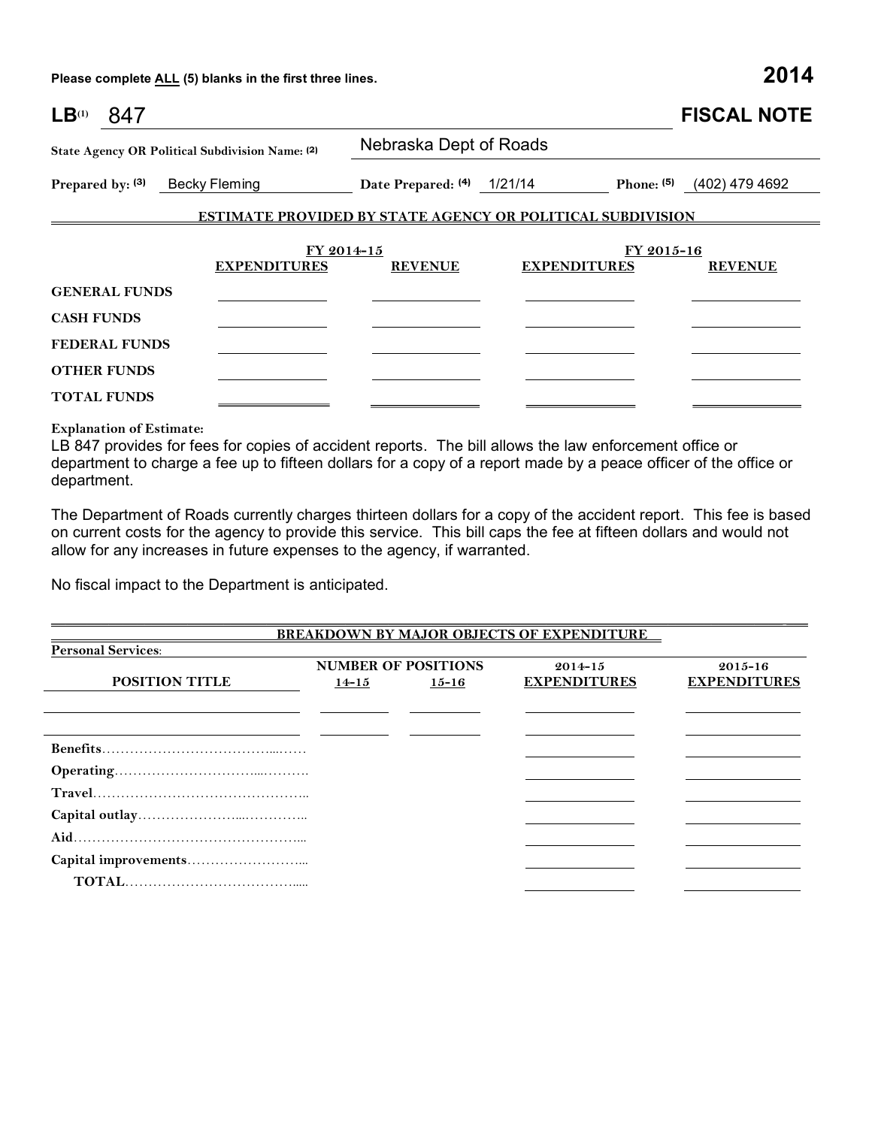**Please complete ALL (5) blanks in the first three lines. 2014**

| LB <sup>(1)</sup><br>847                        |                                                                   |                            |            |                     | <b>FISCAL NOTE</b>            |  |
|-------------------------------------------------|-------------------------------------------------------------------|----------------------------|------------|---------------------|-------------------------------|--|
| State Agency OR Political Subdivision Name: (2) |                                                                   | Nebraska Dept of Roads     |            |                     |                               |  |
| Prepared by: (3)                                | Becky Fleming                                                     | Date Prepared: (4) 1/21/14 |            |                     | Phone: $(5)$ $(402)$ 479 4692 |  |
|                                                 | <b>ESTIMATE PROVIDED BY STATE AGENCY OR POLITICAL SUBDIVISION</b> |                            |            |                     |                               |  |
|                                                 |                                                                   | FY 2014-15                 | FY 2015-16 |                     |                               |  |
|                                                 | <b>EXPENDITURES</b>                                               | <b>REVENUE</b>             |            | <b>EXPENDITURES</b> | <b>REVENUE</b>                |  |
| <b>GENERAL FUNDS</b>                            |                                                                   |                            |            |                     |                               |  |
| <b>CASH FUNDS</b>                               |                                                                   |                            |            |                     |                               |  |
| <b>FEDERAL FUNDS</b>                            |                                                                   |                            |            |                     |                               |  |
| <b>OTHER FUNDS</b>                              |                                                                   |                            |            |                     |                               |  |
| <b>TOTAL FUNDS</b>                              |                                                                   |                            |            |                     |                               |  |

**Explanation of Estimate:**

LB 847 provides for fees for copies of accident reports. The bill allows the law enforcement office or department to charge a fee up to fifteen dollars for a copy of a report made by a peace officer of the office or department.

The Department of Roads currently charges thirteen dollars for a copy of the accident report. This fee is based on current costs for the agency to provide this service. This bill caps the fee at fifteen dollars and would not allow for any increases in future expenses to the agency, if warranted.

 $\Box$ 

No fiscal impact to the Department is anticipated.

|                           |                            |           | BREAKDOWN BY MAJOR OBJECTS OF EXPENDITURE |                     |  |
|---------------------------|----------------------------|-----------|-------------------------------------------|---------------------|--|
| <b>Personal Services:</b> |                            |           |                                           |                     |  |
|                           | <b>NUMBER OF POSITIONS</b> |           | $2014 - 15$                               | $2015 - 16$         |  |
| POSITION TITLE            | $14 - 15$                  | $15 - 16$ | <b>EXPENDITURES</b>                       | <b>EXPENDITURES</b> |  |
|                           |                            |           |                                           |                     |  |
|                           |                            |           |                                           |                     |  |
|                           |                            |           |                                           |                     |  |
|                           |                            |           |                                           |                     |  |
|                           |                            |           |                                           |                     |  |
|                           |                            |           |                                           |                     |  |
|                           |                            |           |                                           |                     |  |
|                           |                            |           |                                           |                     |  |
|                           |                            |           |                                           |                     |  |
|                           |                            |           |                                           |                     |  |
|                           |                            |           |                                           |                     |  |